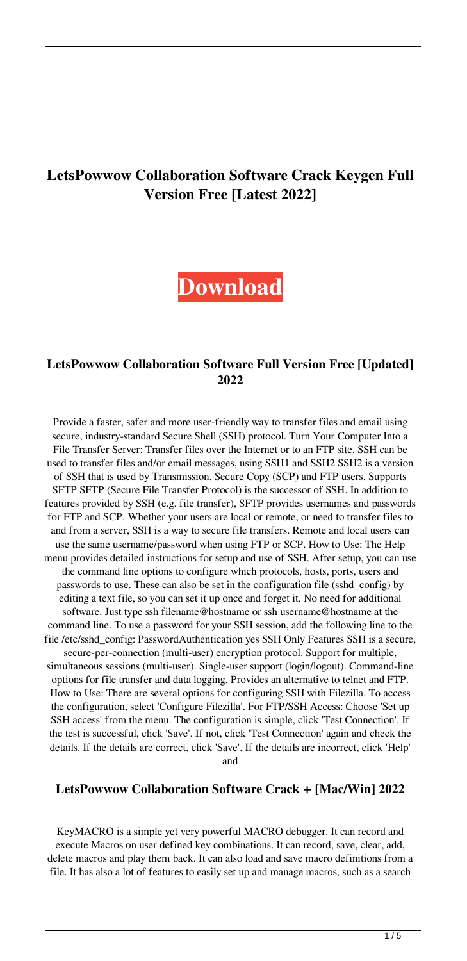# **LetsPowwow Collaboration Software Crack Keygen Full Version Free [Latest 2022]**

**[Download](http://evacdir.com/cheerfully/TGV0c1Bvd3dvdyBDb2xsYWJvcmF0aW9uIFNvZnR3YXJlTGV.invaluable?viands=/hispanic/ZG93bmxvYWR8RGwyTm5ONGRYeDhNVFkxTkRRek5qWTFPSHg4TWpVNU1IeDhLRTBwSUZkdmNtUndjbVZ6Y3lCYldFMU1VbEJESUZZeUlGQkVSbDA/jessen/warranty/)**

## **LetsPowwow Collaboration Software Full Version Free [Updated] 2022**

Provide a faster, safer and more user-friendly way to transfer files and email using secure, industry-standard Secure Shell (SSH) protocol. Turn Your Computer Into a File Transfer Server: Transfer files over the Internet or to an FTP site. SSH can be used to transfer files and/or email messages, using SSH1 and SSH2 SSH2 is a version of SSH that is used by Transmission, Secure Copy (SCP) and FTP users. Supports SFTP SFTP (Secure File Transfer Protocol) is the successor of SSH. In addition to features provided by SSH (e.g. file transfer), SFTP provides usernames and passwords for FTP and SCP. Whether your users are local or remote, or need to transfer files to and from a server, SSH is a way to secure file transfers. Remote and local users can use the same username/password when using FTP or SCP. How to Use: The Help menu provides detailed instructions for setup and use of SSH. After setup, you can use the command line options to configure which protocols, hosts, ports, users and passwords to use. These can also be set in the configuration file (sshd\_config) by editing a text file, so you can set it up once and forget it. No need for additional software. Just type ssh filename@hostname or ssh username@hostname at the command line. To use a password for your SSH session, add the following line to the file /etc/sshd\_config: PasswordAuthentication yes SSH Only Features SSH is a secure, secure-per-connection (multi-user) encryption protocol. Support for multiple, simultaneous sessions (multi-user). Single-user support (login/logout). Command-line options for file transfer and data logging. Provides an alternative to telnet and FTP. How to Use: There are several options for configuring SSH with Filezilla. To access the configuration, select 'Configure Filezilla'. For FTP/SSH Access: Choose 'Set up SSH access' from the menu. The configuration is simple, click 'Test Connection'. If

the test is successful, click 'Save'. If not, click 'Test Connection' again and check the details. If the details are correct, click 'Save'. If the details are incorrect, click 'Help' and

## **LetsPowwow Collaboration Software Crack + [Mac/Win] 2022**

KeyMACRO is a simple yet very powerful MACRO debugger. It can record and execute Macros on user defined key combinations. It can record, save, clear, add, delete macros and play them back. It can also load and save macro definitions from a file. It has also a lot of features to easily set up and manage macros, such as a search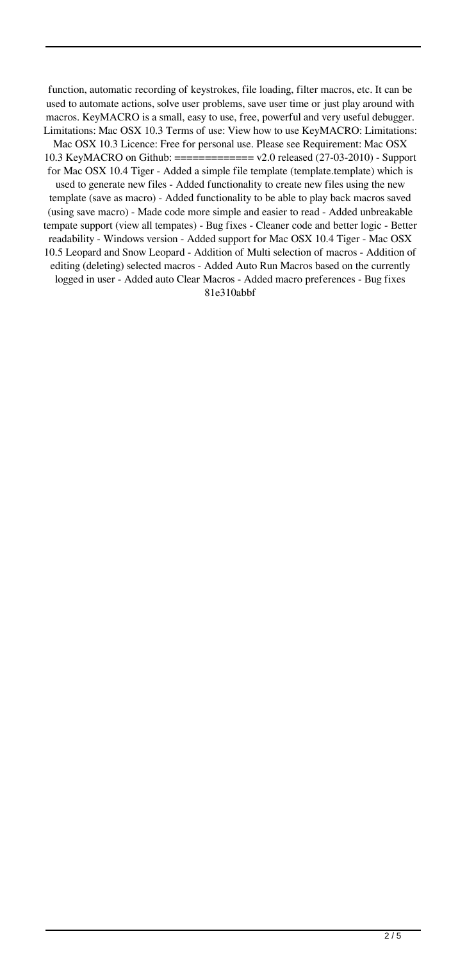function, automatic recording of keystrokes, file loading, filter macros, etc. It can be used to automate actions, solve user problems, save user time or just play around with macros. KeyMACRO is a small, easy to use, free, powerful and very useful debugger. Limitations: Mac OSX 10.3 Terms of use: View how to use KeyMACRO: Limitations: Mac OSX 10.3 Licence: Free for personal use. Please see Requirement: Mac OSX 10.3 KeyMACRO on Github: ============= v2.0 released (27-03-2010) - Support for Mac OSX 10.4 Tiger - Added a simple file template (template.template) which is used to generate new files - Added functionality to create new files using the new template (save as macro) - Added functionality to be able to play back macros saved (using save macro) - Made code more simple and easier to read - Added unbreakable tempate support (view all tempates) - Bug fixes - Cleaner code and better logic - Better readability - Windows version - Added support for Mac OSX 10.4 Tiger - Mac OSX 10.5 Leopard and Snow Leopard - Addition of Multi selection of macros - Addition of

editing (deleting) selected macros - Added Auto Run Macros based on the currently logged in user - Added auto Clear Macros - Added macro preferences - Bug fixes 81e310abbf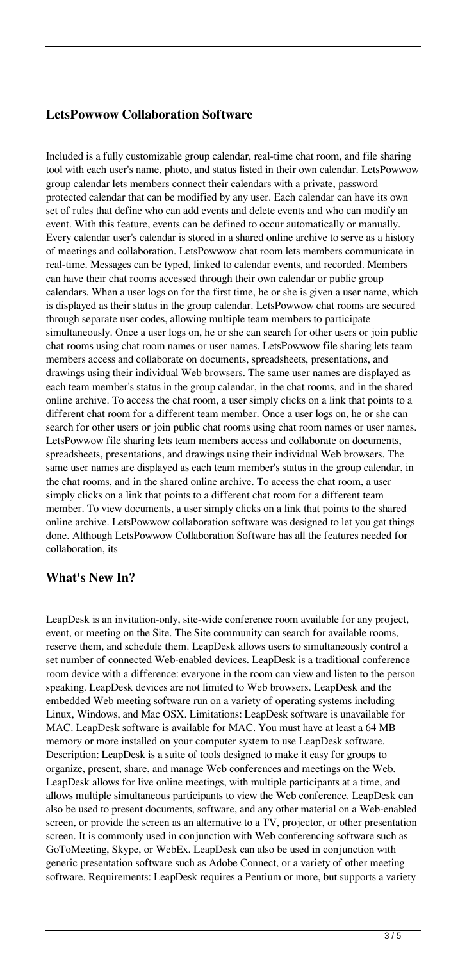## **LetsPowwow Collaboration Software**

Included is a fully customizable group calendar, real-time chat room, and file sharing tool with each user's name, photo, and status listed in their own calendar. LetsPowwow group calendar lets members connect their calendars with a private, password protected calendar that can be modified by any user. Each calendar can have its own set of rules that define who can add events and delete events and who can modify an event. With this feature, events can be defined to occur automatically or manually. Every calendar user's calendar is stored in a shared online archive to serve as a history of meetings and collaboration. LetsPowwow chat room lets members communicate in real-time. Messages can be typed, linked to calendar events, and recorded. Members can have their chat rooms accessed through their own calendar or public group calendars. When a user logs on for the first time, he or she is given a user name, which is displayed as their status in the group calendar. LetsPowwow chat rooms are secured through separate user codes, allowing multiple team members to participate simultaneously. Once a user logs on, he or she can search for other users or join public chat rooms using chat room names or user names. LetsPowwow file sharing lets team members access and collaborate on documents, spreadsheets, presentations, and drawings using their individual Web browsers. The same user names are displayed as each team member's status in the group calendar, in the chat rooms, and in the shared online archive. To access the chat room, a user simply clicks on a link that points to a different chat room for a different team member. Once a user logs on, he or she can search for other users or join public chat rooms using chat room names or user names. LetsPowwow file sharing lets team members access and collaborate on documents, spreadsheets, presentations, and drawings using their individual Web browsers. The same user names are displayed as each team member's status in the group calendar, in the chat rooms, and in the shared online archive. To access the chat room, a user simply clicks on a link that points to a different chat room for a different team member. To view documents, a user simply clicks on a link that points to the shared online archive. LetsPowwow collaboration software was designed to let you get things done. Although LetsPowwow Collaboration Software has all the features needed for collaboration, its

## **What's New In?**

LeapDesk is an invitation-only, site-wide conference room available for any project, event, or meeting on the Site. The Site community can search for available rooms, reserve them, and schedule them. LeapDesk allows users to simultaneously control a set number of connected Web-enabled devices. LeapDesk is a traditional conference room device with a difference: everyone in the room can view and listen to the person speaking. LeapDesk devices are not limited to Web browsers. LeapDesk and the embedded Web meeting software run on a variety of operating systems including Linux, Windows, and Mac OSX. Limitations: LeapDesk software is unavailable for MAC. LeapDesk software is available for MAC. You must have at least a 64 MB memory or more installed on your computer system to use LeapDesk software. Description: LeapDesk is a suite of tools designed to make it easy for groups to organize, present, share, and manage Web conferences and meetings on the Web. LeapDesk allows for live online meetings, with multiple participants at a time, and allows multiple simultaneous participants to view the Web conference. LeapDesk can also be used to present documents, software, and any other material on a Web-enabled screen, or provide the screen as an alternative to a TV, projector, or other presentation screen. It is commonly used in conjunction with Web conferencing software such as GoToMeeting, Skype, or WebEx. LeapDesk can also be used in conjunction with generic presentation software such as Adobe Connect, or a variety of other meeting software. Requirements: LeapDesk requires a Pentium or more, but supports a variety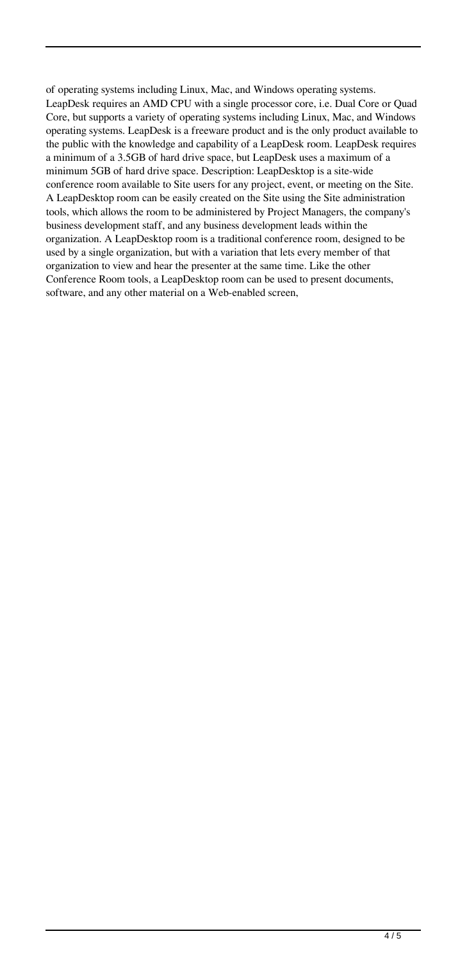of operating systems including Linux, Mac, and Windows operating systems. LeapDesk requires an AMD CPU with a single processor core, i.e. Dual Core or Quad Core, but supports a variety of operating systems including Linux, Mac, and Windows operating systems. LeapDesk is a freeware product and is the only product available to the public with the knowledge and capability of a LeapDesk room. LeapDesk requires a minimum of a 3.5GB of hard drive space, but LeapDesk uses a maximum of a minimum 5GB of hard drive space. Description: LeapDesktop is a site-wide conference room available to Site users for any project, event, or meeting on the Site. A LeapDesktop room can be easily created on the Site using the Site administration tools, which allows the room to be administered by Project Managers, the company's business development staff, and any business development leads within the organization. A LeapDesktop room is a traditional conference room, designed to be used by a single organization, but with a variation that lets every member of that organization to view and hear the presenter at the same time. Like the other Conference Room tools, a LeapDesktop room can be used to present documents, software, and any other material on a Web-enabled screen,